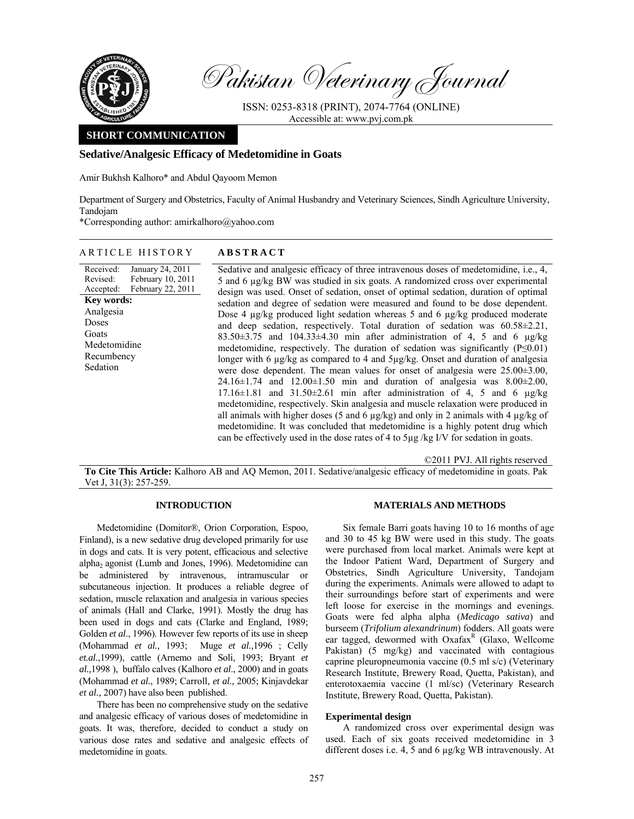

Pakistan Veterinary Journal

ISSN: 0253-8318 (PRINT), 2074-7764 (ONLINE) Accessible at: www.pvj.com.pk

# **SHORT COMMUNICATION**

## **Sedative/Analgesic Efficacy of Medetomidine in Goats**

Amir Bukhsh Kalhoro\* and Abdul Qayoom Memon

Department of Surgery and Obstetrics, Faculty of Animal Husbandry and Veterinary Sciences, Sindh Agriculture University, Tandojam

\*Corresponding author: amirkalhoro@yahoo.com

| ARTICLE HISTORY                                                                                                                                                                                | <b>ABSTRACT</b>                                                                                                                                                                                                                                                                                                                                                                                                                                                                                                                                                                                                                                                                                                                                                                                                                                                                                                                                                                                                                                                                                                                                                                                                                                                                                                                                                                                                                                                          |
|------------------------------------------------------------------------------------------------------------------------------------------------------------------------------------------------|--------------------------------------------------------------------------------------------------------------------------------------------------------------------------------------------------------------------------------------------------------------------------------------------------------------------------------------------------------------------------------------------------------------------------------------------------------------------------------------------------------------------------------------------------------------------------------------------------------------------------------------------------------------------------------------------------------------------------------------------------------------------------------------------------------------------------------------------------------------------------------------------------------------------------------------------------------------------------------------------------------------------------------------------------------------------------------------------------------------------------------------------------------------------------------------------------------------------------------------------------------------------------------------------------------------------------------------------------------------------------------------------------------------------------------------------------------------------------|
| Received:<br>January 24, 2011<br>February 10, 2011<br>Revised:<br>February 22, 2011<br>Accepted:<br><b>Key words:</b><br>Analgesia<br>Doses<br>Goats<br>Medetomidine<br>Recumbency<br>Sedation | Sedative and analgesic efficacy of three intravenous doses of medetomidine, i.e., 4,<br>5 and 6 µg/kg BW was studied in six goats. A randomized cross over experimental<br>design was used. Onset of sedation, onset of optimal sedation, duration of optimal<br>sedation and degree of sedation were measured and found to be dose dependent.<br>Dose 4 µg/kg produced light sedation whereas 5 and 6 µg/kg produced moderate<br>and deep sedation, respectively. Total duration of sedation was $60.58 \pm 2.21$ ,<br>$83.50\pm3.75$ and $104.33\pm4.30$ min after administration of 4, 5 and 6 $\mu$ g/kg<br>medetomidine, respectively. The duration of sedation was significantly $(P \le 0.01)$<br>longer with 6 µg/kg as compared to 4 and 5µg/kg. Onset and duration of analgesia<br>were dose dependent. The mean values for onset of analgesia were $25.00\pm3.00$ ,<br>$24.16 \pm 1.74$ and $12.00 \pm 1.50$ min and duration of analgesia was $8.00 \pm 2.00$ ,<br>17.16 $\pm$ 1.81 and 31.50 $\pm$ 2.61 min after administration of 4, 5 and 6 $\mu$ g/kg<br>medetomidine, respectively. Skin analgesia and muscle relaxation were produced in<br>all animals with higher doses (5 and 6 $\mu$ g/kg) and only in 2 animals with 4 $\mu$ g/kg of<br>medetomidine. It was concluded that medetomidine is a highly potent drug which<br>can be effectively used in the dose rates of 4 to 5µg /kg I/V for sedation in goats.<br>©2011 PVJ. All rights reserved |

**To Cite This Article:** Kalhoro AB and AQ Memon, 2011. Sedative/analgesic efficacy of medetomidine in goats. Pak Vet J, 31(3): 257-259.

## **INTRODUCTION**

Medetomidine (Domitor®, Orion Corporation, Espoo, Finland), is a new sedative drug developed primarily for use in dogs and cats. It is very potent, efficacious and selective alpha<sub>2</sub> agonist (Lumb and Jones, 1996). Medetomidine can be administered by intravenous, intramuscular or subcutaneous injection. It produces a reliable degree of sedation, muscle relaxation and analgesia in various species of animals (Hall and Clarke, 1991). Mostly the drug has been used in dogs and cats (Clarke and England, 1989; Golden *et al*., 1996). However few reports of its use in sheep (Mohammad *et al.,* 1993; Muge *et al.,*1996 ; Celly *et.al*.,1999), cattle (Arnemo and Soli, 1993; Bryant *et al.,*1998 ), buffalo calves (Kalhoro *et al*., 2000) and in goats (Mohammad *et al.*, 1989; Carroll, *et al.,* 2005; Kinjavdekar *et al.,* 2007) have also been published.

There has been no comprehensive study on the sedative and analgesic efficacy of various doses of medetomidine in goats. It was, therefore, decided to conduct a study on various dose rates and sedative and analgesic effects of medetomidine in goats.

# **MATERIALS AND METHODS**

Six female Barri goats having 10 to 16 months of age and 30 to 45 kg BW were used in this study. The goats were purchased from local market. Animals were kept at the Indoor Patient Ward, Department of Surgery and Obstetrics, Sindh Agriculture University, Tandojam during the experiments. Animals were allowed to adapt to their surroundings before start of experiments and were left loose for exercise in the mornings and evenings. Goats were fed alpha alpha (*Medicago sativa*) and burseem (*Trifolium alexandrinum*) fodders. All goats were ear tagged, dewormed with Oxafax<sup>R</sup> (Glaxo, Wellcome Pakistan) (5 mg/kg) and vaccinated with contagious caprine pleuropneumonia vaccine (0.5 ml s/c) (Veterinary Research Institute, Brewery Road, Quetta, Pakistan), and enterotoxaemia vaccine (1 ml/sc) (Veterinary Research Institute, Brewery Road, Quetta, Pakistan).

## **Experimental design**

A randomized cross over experimental design was used. Each of six goats received medetomidine in 3 different doses i.e. 4, 5 and 6 µg/kg WB intravenously. At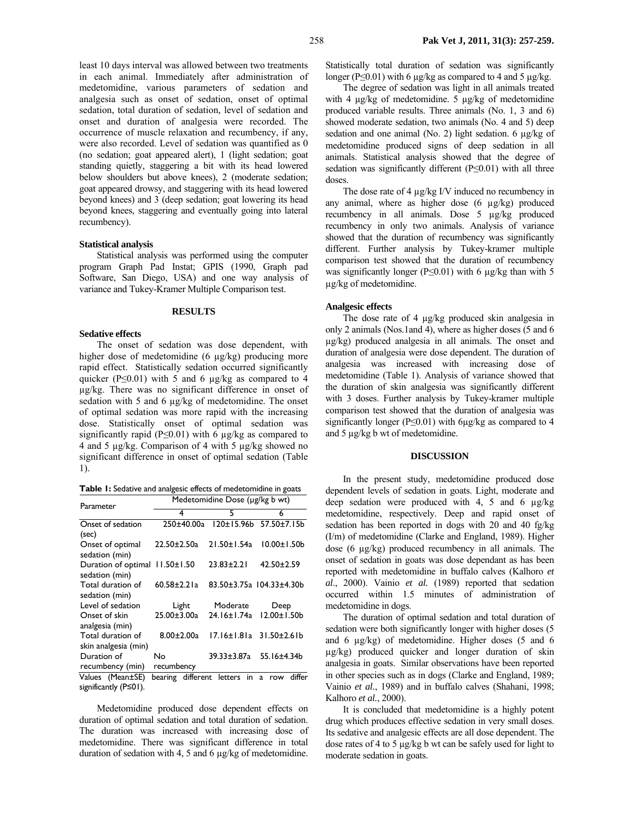least 10 days interval was allowed between two treatments in each animal. Immediately after administration of medetomidine, various parameters of sedation and analgesia such as onset of sedation, onset of optimal sedation, total duration of sedation, level of sedation and onset and duration of analgesia were recorded. The occurrence of muscle relaxation and recumbency, if any, were also recorded. Level of sedation was quantified as 0 (no sedation; goat appeared alert), 1 (light sedation; goat standing quietly, staggering a bit with its head lowered below shoulders but above knees), 2 (moderate sedation; goat appeared drowsy, and staggering with its head lowered beyond knees) and 3 (deep sedation; goat lowering its head beyond knees, staggering and eventually going into lateral recumbency).

## **Statistical analysis**

Statistical analysis was performed using the computer program Graph Pad Instat; GPIS (1990, Graph pad Software, San Diego, USA) and one way analysis of variance and Tukey-Kramer Multiple Comparison test.

#### **RESULTS**

### **Sedative effects**

The onset of sedation was dose dependent, with higher dose of medetomidine (6 µg/kg) producing more rapid effect. Statistically sedation occurred significantly quicker ( $P \le 0.01$ ) with 5 and 6  $\mu$ g/kg as compared to 4 µg/kg. There was no significant difference in onset of sedation with 5 and 6  $\mu$ g/kg of medetomidine. The onset of optimal sedation was more rapid with the increasing dose. Statistically onset of optimal sedation was significantly rapid ( $P \le 0.01$ ) with 6  $\mu$ g/kg as compared to 4 and 5 µg/kg. Comparison of 4 with 5 µg/kg showed no significant difference in onset of optimal sedation (Table 1).

**Table 1:** Sedative and analgesic effects of medetomidine in goats

| Parameter             | Medetomidine Dose (µg/kg b wt) |                   |                          |  |
|-----------------------|--------------------------------|-------------------|--------------------------|--|
|                       | 4                              | 5                 | 6                        |  |
| Onset of sedation     | 250±40.00a                     | 120±15.96b        | $57.50 \pm 7.15$ b       |  |
| (sec)                 |                                |                   |                          |  |
| Onset of optimal      | $22.50 \pm 2.50a$              | $21.50 \pm 1.54a$ | $10.00 \pm 1.50$         |  |
| sedation (min)        |                                |                   |                          |  |
| Duration of optimal   | $11.50 \pm 1.50$               | $23.83 \pm 2.21$  | $42.50 \pm 2.59$         |  |
| sedation (min)        |                                |                   |                          |  |
| Total duration of     | $60.58 \pm 2.21a$              |                   | 83.50±3.75a 104.33±4.30b |  |
| sedation (min)        |                                |                   |                          |  |
| Level of sedation     | Light                          | Moderate          | Deep                     |  |
| Onset of skin         | $25.00 \pm 3.00a$              | 24.16±1.74a       | 12.00±1.50b              |  |
| analgesia (min)       |                                |                   |                          |  |
| Total duration of     | $8.00 \pm 2.00a$               | 17.16±1.81a       | $31.50 \pm 2.61 b$       |  |
| skin analgesia (min)  |                                |                   |                          |  |
| Duration of           | No                             | 39.33±3.87a       | 55.16±4.34b              |  |
| recumbency (min)      | recumbency                     |                   |                          |  |
| Values (Mean±SE)      | bearing<br>different           | letters<br>in     | differ<br>a<br>row       |  |
| significantly (P≤01). |                                |                   |                          |  |

Medetomidine produced dose dependent effects on duration of optimal sedation and total duration of sedation. The duration was increased with increasing dose of medetomidine. There was significant difference in total duration of sedation with 4, 5 and 6 µg/kg of medetomidine.

Statistically total duration of sedation was significantly longer (P<0.01) with 6  $\mu$ g/kg as compared to 4 and 5  $\mu$ g/kg.

The degree of sedation was light in all animals treated with 4  $\mu$ g/kg of medetomidine. 5  $\mu$ g/kg of medetomidine produced variable results. Three animals (No. 1, 3 and 6) showed moderate sedation, two animals (No. 4 and 5) deep sedation and one animal (No. 2) light sedation. 6  $\mu$ g/kg of medetomidine produced signs of deep sedation in all animals. Statistical analysis showed that the degree of sedation was significantly different (P≤0.01) with all three doses.

The dose rate of 4  $\mu$ g/kg I/V induced no recumbency in any animal, where as higher dose (6 µg/kg) produced recumbency in all animals. Dose 5 µg/kg produced recumbency in only two animals. Analysis of variance showed that the duration of recumbency was significantly different. Further analysis by Tukey-kramer multiple comparison test showed that the duration of recumbency was significantly longer (P≤0.01) with 6 µg/kg than with 5 µg/kg of medetomidine.

### **Analgesic effects**

The dose rate of 4  $\mu$ g/kg produced skin analgesia in only 2 animals (Nos.1and 4), where as higher doses (5 and 6 µg/kg) produced analgesia in all animals. The onset and duration of analgesia were dose dependent. The duration of analgesia was increased with increasing dose of medetomidine (Table 1). Analysis of variance showed that the duration of skin analgesia was significantly different with 3 doses. Further analysis by Tukey-kramer multiple comparison test showed that the duration of analgesia was significantly longer (P≤0.01) with 6µg/kg as compared to 4 and 5 µg/kg b wt of medetomidine.

## **DISCUSSION**

In the present study, medetomidine produced dose dependent levels of sedation in goats. Light, moderate and deep sedation were produced with 4, 5 and 6  $\mu$ g/kg medetomidine, respectively. Deep and rapid onset of sedation has been reported in dogs with 20 and 40 fg/kg (I/m) of medetomidine (Clarke and England, 1989). Higher dose (6 µg/kg) produced recumbency in all animals. The onset of sedation in goats was dose dependant as has been reported with medetomidine in buffalo calves (Kalhoro *et al*., 2000). Vainio *et al.* (1989) reported that sedation occurred within 1.5 minutes of administration of medetomidine in dogs.

The duration of optimal sedation and total duration of sedation were both significantly longer with higher doses (5 and 6 µg/kg) of medetomidine. Higher doses (5 and 6 µg/kg) produced quicker and longer duration of skin analgesia in goats. Similar observations have been reported in other species such as in dogs (Clarke and England, 1989; Vainio *et al.*, 1989) and in buffalo calves (Shahani, 1998; Kalhoro *et al.*, 2000).

It is concluded that medetomidine is a highly potent drug which produces effective sedation in very small doses. Its sedative and analgesic effects are all dose dependent. The dose rates of 4 to 5 µg/kg b wt can be safely used for light to moderate sedation in goats.